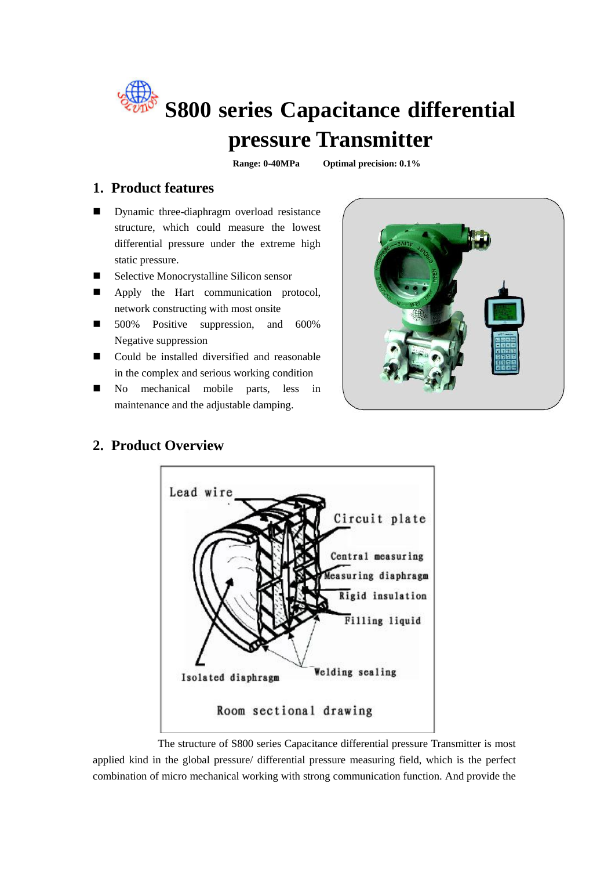

**pressure Transmitter**

**Range: 0-40MPa Optimal precision: 0.1%**

#### **1. Product features**

- **Dynamic three-diaphragm overload resistance** structure, which could measure the lowest differential pressure under the extreme high static pressure.
- Selective Monocrystalline Silicon sensor
- Apply the Hart communication protocol, network constructing with most onsite
- 500% Positive suppression, and 600% Negative suppression
- Could be installed diversified and reasonable in the complex and serious working condition
- No mechanical mobile parts, less in maintenance and the adjustable damping.





#### **2. Product Overview**

The structure of S800 series Capacitance differential pressure Transmitter is most applied kind in the global pressure/ differential pressure measuring field, which is the perfect combination of micro mechanical working with strong communication function. And provide the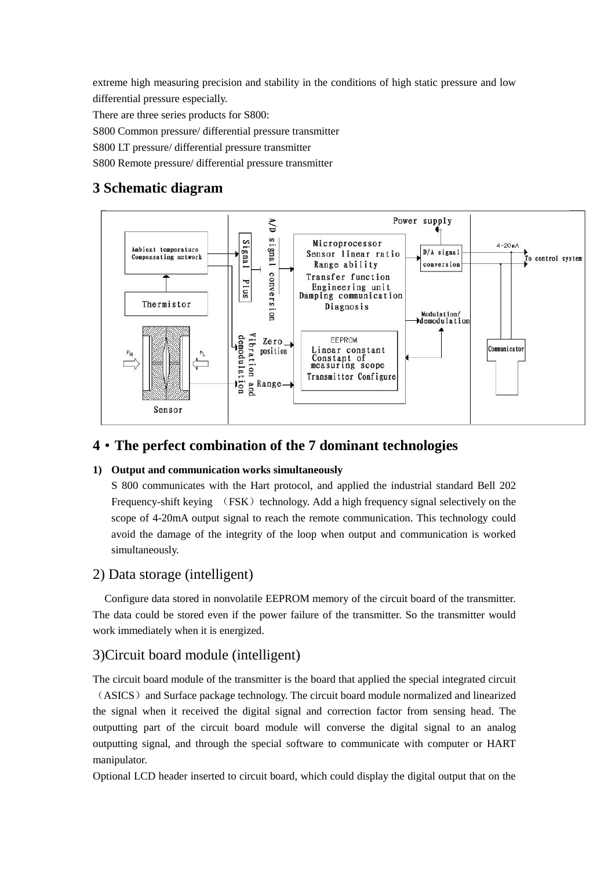extreme high measuring precision and stability in the conditions of high static pressure and low differential pressure especially.

There are three series products for S800:

S800 Common pressure/ differential pressure transmitter

S800 LT pressure/ differential pressure transmitter

S800 Remote pressure/ differential pressure transmitter

#### **3 Schematic diagram**



#### **4**·**The perfect combination of the 7 dominant technologies**

#### **1) Output and communication works simultaneously**

S 800 communicates with the Hart protocol, and applied the industrial standard Bell 202 Frequency-shift keying (FSK) technology. Add a high frequency signal selectively on the scope of 4-20mA output signal to reach the remote communication. This technology could avoid the damage of the integrity of the loop when output and communication is worked simultaneously.

#### 2) Data storage (intelligent)

Configure data stored in nonvolatile EEPROM memory of the circuit board of the transmitter. The data could be stored even if the power failure of the transmitter. So the transmitter would work immediately when it is energized.

#### 3)Circuit board module (intelligent)

The circuit board module of the transmitter is the board that applied the special integrated circuit (ASICS) and Surface package technology. The circuit board module normalized and linearized the signal when it received the digital signal and correction factor from sensing head. The outputting part of the circuit board module will converse the digital signal to an analog outputting signal, and through the special software to communicate with computer or HART manipulator.

Optional LCD header inserted to circuit board, which could display the digital output that on the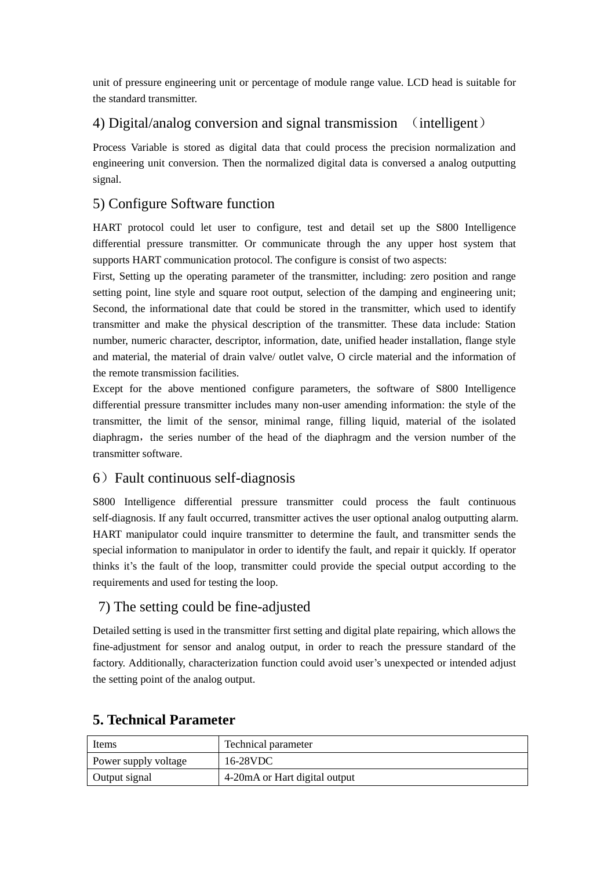unit of pressure engineering unit or percentage of module range value. LCD head is suitable for the standard transmitter.

#### 4) Digital/analog conversion and signal transmission (intelligent)

Process Variable is stored as digital data that could process the precision normalization and engineering unit conversion. Then the normalized digital data is conversed a analog outputting signal.

#### 5) Configure Software function

HART protocol could let user to configure, test and detail set up the S800 Intelligence differential pressure transmitter. Or communicate through the any upper host system that supports HART communication protocol. The configure is consist of two aspects:

First, Setting up the operating parameter of the transmitter, including: zero position and range setting point, line style and square root output, selection of the damping and engineering unit; Second, the informational date that could be stored in the transmitter, which used to identify transmitter and make the physical description of the transmitter. These data include: Station number, numeric character, descriptor, information, date, unified header installation, flange style and material, the material of drain valve/ outlet valve, O circle material and the information of the remote transmission facilities.

Except for the above mentioned configure parameters, the software of S800 Intelligence differential pressure transmitter includes many non-user amending information: the style of the transmitter, the limit of the sensor, minimal range, filling liquid, material of the isolated diaphragm, the series number of the head of the diaphragm and the version number of the transmitter software.

#### 6)Fault continuous self-diagnosis

S800 Intelligence differential pressure transmitter could process the fault continuous self-diagnosis. If any fault occurred, transmitter actives the user optional analog outputting alarm. HART manipulator could inquire transmitter to determine the fault, and transmitter sends the special information to manipulator in order to identify the fault, and repair it quickly. If operator thinks it's the fault of the loop, transmitter could provide the special output according to the requirements and used for testing the loop.

#### 7) The setting could be fine-adjusted

Detailed setting is used in the transmitter first setting and digital plate repairing, which allows the fine-adjustment for sensor and analog output, in order to reach the pressure standard of the factory. Additionally, characterization function could avoid user's unexpected or intended adjust the setting point of the analog output.

| Items                | Technical parameter            |
|----------------------|--------------------------------|
| Power supply voltage | 16-28VDC                       |
| Output signal        | 4-20 mA or Hart digital output |

#### **5. Technical Parameter**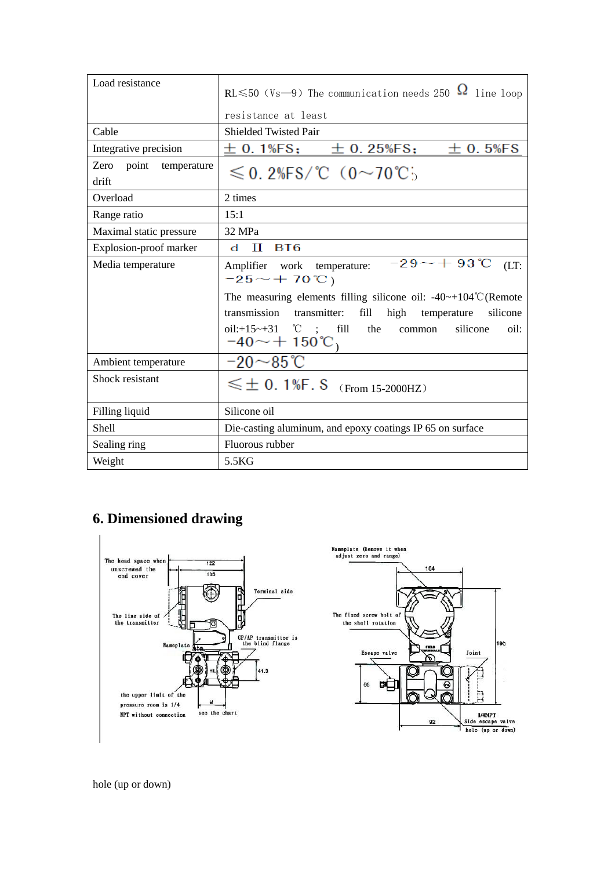| Load resistance                       | $RL \le 50$ (Vs-9) The communication needs 250 $\Omega$ line loop                                                                                                                                                                          |  |  |  |  |  |  |
|---------------------------------------|--------------------------------------------------------------------------------------------------------------------------------------------------------------------------------------------------------------------------------------------|--|--|--|--|--|--|
|                                       | resistance at least                                                                                                                                                                                                                        |  |  |  |  |  |  |
| Cable                                 | <b>Shielded Twisted Pair</b>                                                                                                                                                                                                               |  |  |  |  |  |  |
| Integrative precision                 | $\pm$ 0.1%FS; $\pm$ 0.25%FS;<br>$\pm$ 0.5%FS                                                                                                                                                                                               |  |  |  |  |  |  |
| point<br>Zero<br>temperature<br>drift | $\leqslant$ 0.2%FS/°C (0~70°C;                                                                                                                                                                                                             |  |  |  |  |  |  |
| Overload                              | 2 times                                                                                                                                                                                                                                    |  |  |  |  |  |  |
| Range ratio                           | 15:1                                                                                                                                                                                                                                       |  |  |  |  |  |  |
| Maximal static pressure               | 32 MPa                                                                                                                                                                                                                                     |  |  |  |  |  |  |
| Explosion-proof marker                | П<br>BT6<br>d                                                                                                                                                                                                                              |  |  |  |  |  |  |
| Media temperature                     | $-29 - +93$ °C<br>(LT)<br>Amplifier work temperature:<br>$-25 - +70^{\circ}C$                                                                                                                                                              |  |  |  |  |  |  |
|                                       | The measuring elements filling silicone oil: $-40-104^{\circ}$ C (Remote<br>transmission transmitter:<br>fill<br>high temperature<br>silicone<br>oil: $+15 \sim +31$ °C ; fill<br>the<br>silicone<br>oil:<br>common<br>$-40 \sim + 150$ °C |  |  |  |  |  |  |
| Ambient temperature                   | $-20\mathtt{\sim}85^\circ\!\mathrm{C}$                                                                                                                                                                                                     |  |  |  |  |  |  |
| Shock resistant                       | $\leq \pm 0.1$ %F. S (From 15-2000HZ)                                                                                                                                                                                                      |  |  |  |  |  |  |
| Filling liquid                        | Silicone oil                                                                                                                                                                                                                               |  |  |  |  |  |  |
| <b>Shell</b>                          | Die-casting aluminum, and epoxy coatings IP 65 on surface                                                                                                                                                                                  |  |  |  |  |  |  |
| Sealing ring                          | Fluorous rubber                                                                                                                                                                                                                            |  |  |  |  |  |  |
| Weight                                | 5.5KG                                                                                                                                                                                                                                      |  |  |  |  |  |  |

## **6. Dimensioned drawing**



hole (up or down)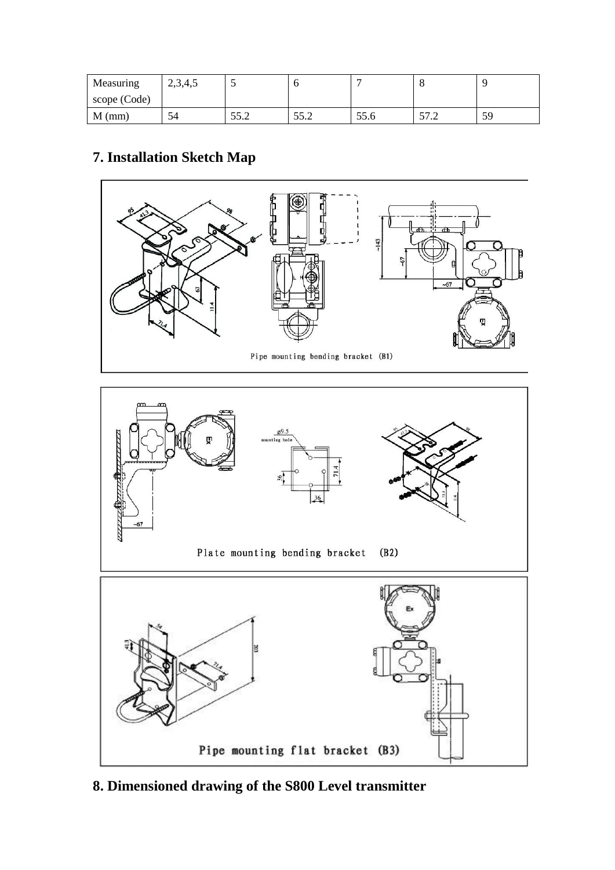| Measuring    | 2,3,4,5 |      |                          |      | u                        |    |
|--------------|---------|------|--------------------------|------|--------------------------|----|
| scope (Code) |         |      |                          |      |                          |    |
| $M$ (mm)     | 54      | 55.2 | 55 <sub>2</sub><br>ے ۔ ب | 55.6 | 57 <sub>1</sub><br>ے ، ر | 59 |

## **7. Installation Sketch Map**



**8. Dimensioned drawing of the S800 Level transmitter**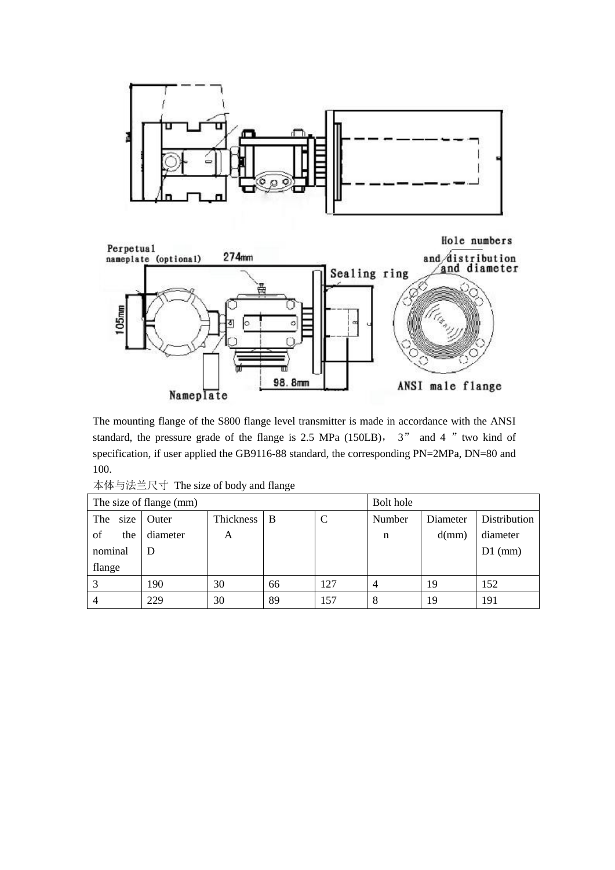



The mounting flange of the S800 flange level transmitter is made in accordance with the ANSI standard, the pressure grade of the flange is  $2.5$  MPa (150LB),  $3''$  and 4 " two kind of specification, if user applied the GB9116-88 standard, the corresponding PN=2MPa, DN=80 and 100.

|             | $(1)$ $(2)$             |             |    |     |        |          |              |  |  |  |  |  |
|-------------|-------------------------|-------------|----|-----|--------|----------|--------------|--|--|--|--|--|
|             | The size of flange (mm) | Bolt hole   |    |     |        |          |              |  |  |  |  |  |
| size<br>The | Outer                   | Thickness B |    | C   | Number | Diameter | Distribution |  |  |  |  |  |
| of<br>the   | diameter                | A           |    |     | n      | d(mm)    | diameter     |  |  |  |  |  |
| nominal     | D                       |             |    |     |        |          | $D1$ (mm)    |  |  |  |  |  |
| flange      |                         |             |    |     |        |          |              |  |  |  |  |  |
|             | 190                     | 30          | 66 | 27ء | 4      | 19       | 152          |  |  |  |  |  |

4 229 30 89 157 8 19 191

本体与法兰尺寸 The size of body and flange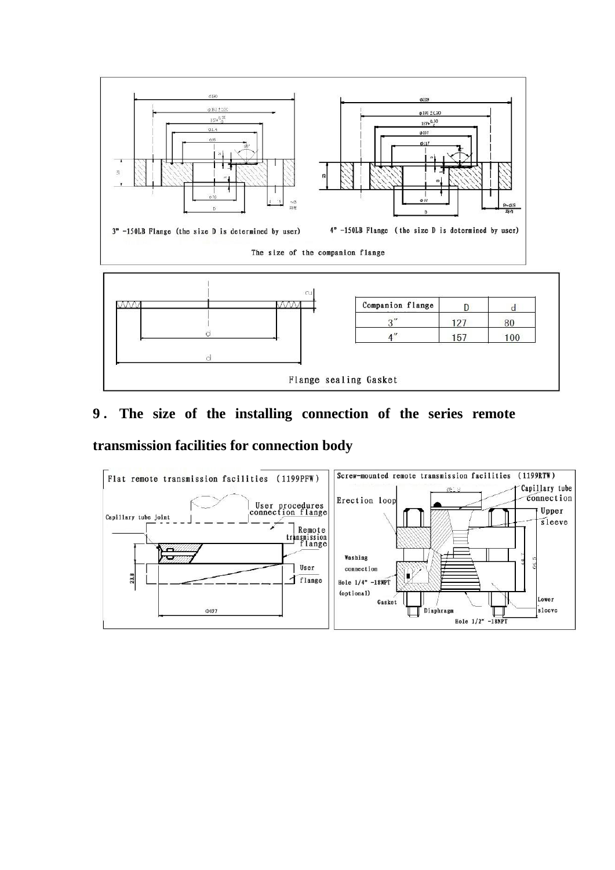

# **9**. **The size of the installing connection of the series remote**

### **transmission facilities for connection body**

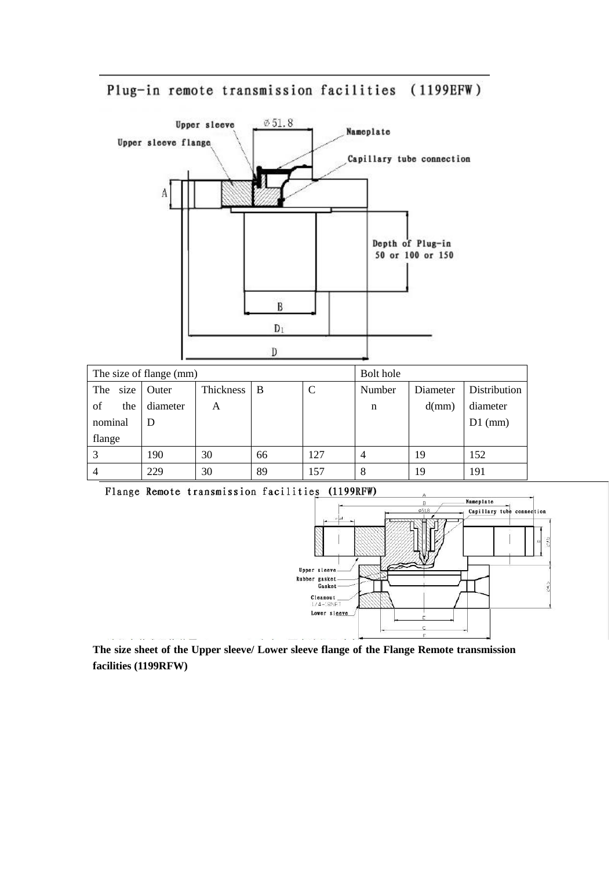## Plug-in remote transmission facilities (1199EFW)





**The size sheet of the Upper sleeve/ Lower sleeve flange of the Flange Remote transmission facilities (1199RFW)**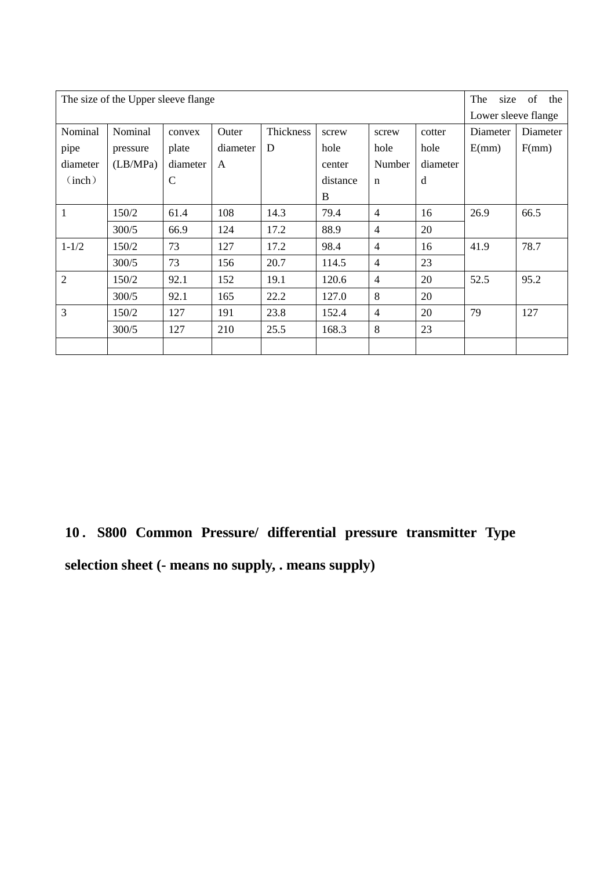|                | The size of the Upper sleeve flange. |              |          |           |          |                |          |                     |          |  |  |  |
|----------------|--------------------------------------|--------------|----------|-----------|----------|----------------|----------|---------------------|----------|--|--|--|
|                |                                      |              |          |           |          |                |          | Lower sleeve flange |          |  |  |  |
| Nominal        | Nominal                              | convex       | Outer    | Thickness | screw    | screw          | cotter   | Diameter            | Diameter |  |  |  |
| pipe           | pressure                             | plate        | diameter | D         | hole     | hole           | hole     | E(mm)               | F(mm)    |  |  |  |
| diameter       | (LB/MPa)                             | diameter     | A        |           | center   | Number         | diameter |                     |          |  |  |  |
| (inch)         |                                      | $\mathsf{C}$ |          |           | distance | $\mathbf n$    | d        |                     |          |  |  |  |
|                |                                      |              |          |           | B        |                |          |                     |          |  |  |  |
| 1              | 150/2                                | 61.4         | 108      | 14.3      | 79.4     | $\overline{4}$ | 16       | 26.9                | 66.5     |  |  |  |
|                | 300/5                                | 66.9         | 124      | 17.2      | 88.9     | $\overline{4}$ | 20       |                     |          |  |  |  |
| $1 - 1/2$      | 150/2                                | 73           | 127      | 17.2      | 98.4     | $\overline{4}$ | 16       | 41.9                | 78.7     |  |  |  |
|                | 300/5                                | 73           | 156      | 20.7      | 114.5    | $\overline{4}$ | 23       |                     |          |  |  |  |
| $\overline{2}$ | 150/2                                | 92.1         | 152      | 19.1      | 120.6    | $\overline{4}$ | 20       | 52.5                | 95.2     |  |  |  |
|                | 300/5                                | 92.1         | 165      | 22.2      | 127.0    | 8              | 20       |                     |          |  |  |  |
| 3              | 150/2                                | 127          | 191      | 23.8      | 152.4    | $\overline{4}$ | 20       | 79                  | 127      |  |  |  |
|                | 300/5                                | 127          | 210      | 25.5      | 168.3    | 8              | 23       |                     |          |  |  |  |
|                |                                      |              |          |           |          |                |          |                     |          |  |  |  |

**10**.**S800 Common Pressure/ differential pressure transmitter Type selection sheet (- means no supply, . means supply)**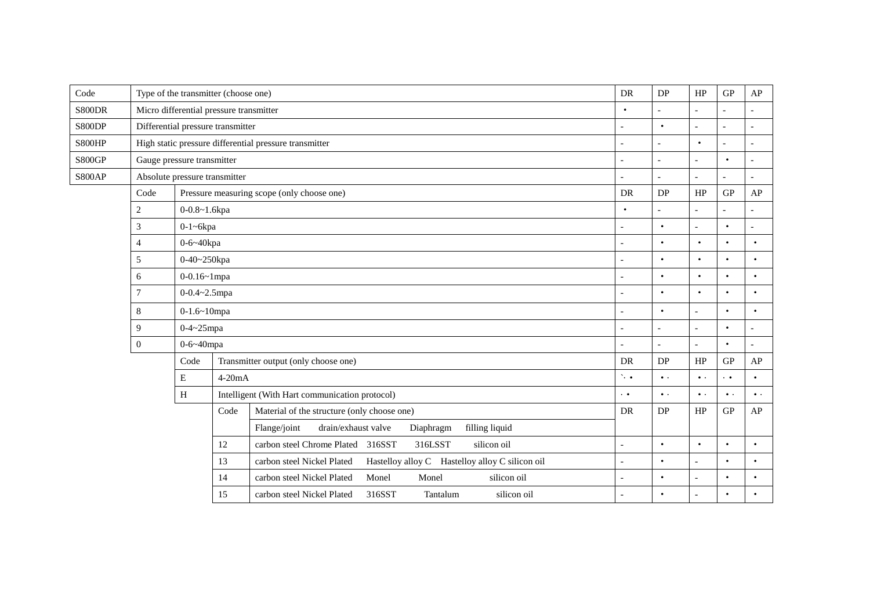| Code          | Type of the transmitter (choose one)                              |                     |          |                                                                    | DR                       | DP                       | HP             | GP             | ${\sf AP}$               |
|---------------|-------------------------------------------------------------------|---------------------|----------|--------------------------------------------------------------------|--------------------------|--------------------------|----------------|----------------|--------------------------|
| S800DR        | Micro differential pressure transmitter                           |                     |          |                                                                    | $\bullet$                | $\overline{a}$           | $\overline{a}$ |                |                          |
| S800DP        | Differential pressure transmitter                                 |                     |          |                                                                    |                          | $\bullet$                |                |                |                          |
| S800HP        | High static pressure differential pressure transmitter            |                     |          |                                                                    | $\overline{\phantom{a}}$ | $\bullet$                | $\overline{a}$ | $\overline{a}$ |                          |
| <b>S800GP</b> | Gauge pressure transmitter                                        |                     |          |                                                                    |                          | $\overline{\phantom{a}}$ |                | $\bullet$      |                          |
| <b>S800AP</b> | Absolute pressure transmitter                                     |                     |          |                                                                    |                          |                          |                |                |                          |
|               | Code                                                              |                     |          | Pressure measuring scope (only choose one)                         | <b>DR</b>                | <b>DP</b>                | HP             | GP             | AP                       |
|               | $\overline{c}$                                                    | 0-0.8~1.6kpa        |          | $\bullet$                                                          |                          |                          |                |                |                          |
|               | 3                                                                 | $0-1$ ~6 $kpa$      |          |                                                                    | $\bullet$                |                          | $\bullet$      |                |                          |
|               | 4                                                                 | 0-6~40kpa           |          |                                                                    |                          | $\bullet$                | $\bullet$      | $\bullet$      | $\bullet$                |
|               | 5                                                                 | 0-40~250kpa         |          |                                                                    | $\bullet$                | $\bullet$                | $\bullet$      | $\bullet$      |                          |
|               | 6                                                                 | $0 - 0.16 - 1$ mpa  |          |                                                                    |                          | $\bullet$                | $\bullet$      | $\bullet$      | $\bullet$                |
|               | 7                                                                 | $0 - 0.4 - 2.5$ mpa |          |                                                                    |                          | ٠                        | $\bullet$      | $\bullet$      | $\bullet$                |
|               | 8                                                                 | $0-1.6 \sim 10$ mpa |          |                                                                    | $\overline{a}$           | $\bullet$                | $\overline{a}$ | $\bullet$      | $\bullet$                |
|               | 9                                                                 | $0-4-25$ mpa        |          |                                                                    |                          |                          | $\overline{a}$ | $\bullet$      |                          |
|               | $\overline{0}$                                                    | 0-6~40mpa           |          |                                                                    |                          | $\overline{\phantom{a}}$ | $\sim$         | $\bullet$      | $\overline{\phantom{a}}$ |
|               |                                                                   | Code                |          | Transmitter output (only choose one)                               | DR                       | DP                       | HP             | ${\rm GP}$     | ${\sf AP}$               |
|               |                                                                   | E                   | $4-20mA$ |                                                                    | $\ddotsc$                | $\bullet$ .              | $\bullet$ .    | .<br>$\bullet$ | $\bullet$                |
|               |                                                                   | $\, {\rm H}$        |          | Intelligent (With Hart communication protocol)                     | $\ddot{\phantom{0}}$     | $\bullet$ .              | $\bullet$ .    | $\bullet$ .    | $\bullet$ .              |
|               |                                                                   |                     | Code     | Material of the structure (only choose one)                        | <b>DR</b>                | DP                       | HP             | ${\rm GP}$     | AP                       |
|               |                                                                   |                     |          | Flange/joint<br>drain/exhaust valve<br>filling liquid<br>Diaphragm |                          |                          |                |                |                          |
|               | carbon steel Chrome Plated 316SST<br>silicon oil<br>12<br>316LSST |                     |          |                                                                    |                          |                          | $\bullet$      | $\bullet$      | $\bullet$                |
|               |                                                                   |                     | 13       |                                                                    | $\bullet$                |                          | $\bullet$      | $\bullet$      |                          |
|               |                                                                   |                     | 14       | Monel<br>carbon steel Nickel Plated<br>silicon oil<br>Monel        | $\overline{a}$           | $\bullet$                | $\overline{a}$ | $\bullet$      | $\bullet$                |
|               |                                                                   |                     | 15       | carbon steel Nickel Plated<br>316SST<br>silicon oil<br>Tantalum    |                          |                          |                | $\bullet$      |                          |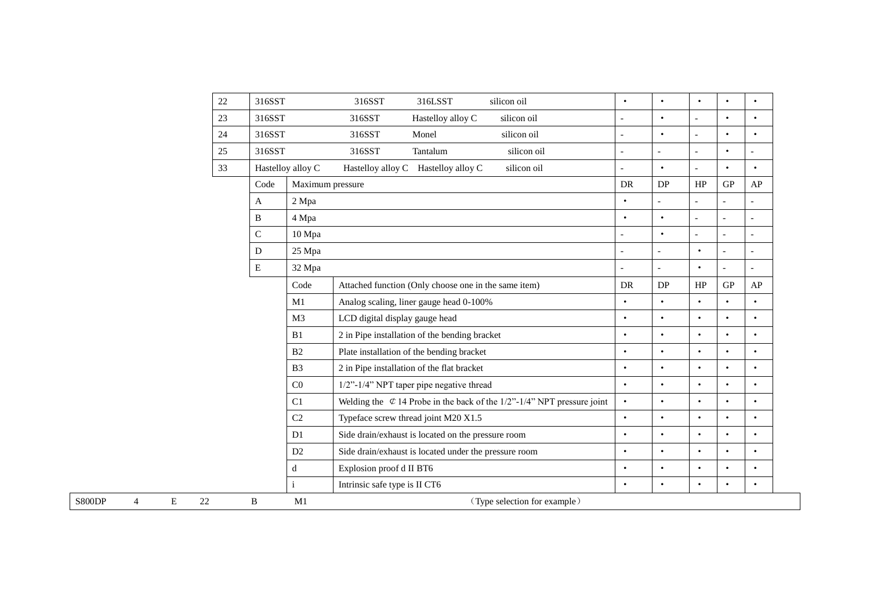|                                                      | $22\,$ | 316SST      |                   | 316SST                         | 316LSST                                               | silicon oil                                                               | $\bullet$      | $\bullet$  | $\bullet$      | $\bullet$      | $\bullet$                |
|------------------------------------------------------|--------|-------------|-------------------|--------------------------------|-------------------------------------------------------|---------------------------------------------------------------------------|----------------|------------|----------------|----------------|--------------------------|
|                                                      | 23     | 316SST      |                   | 316SST                         | Hastelloy alloy C                                     | silicon oil                                                               | $\overline{a}$ | $\bullet$  | $\overline{a}$ | $\bullet$      | $\bullet$                |
|                                                      | 24     | 316SST      |                   | 316SST                         | Monel                                                 | silicon oil                                                               |                | $\bullet$  | $\overline{a}$ | $\bullet$      | $\bullet$                |
|                                                      | 25     | 316SST      |                   | 316SST                         | Tantalum                                              | silicon oil                                                               |                |            | $\overline{a}$ | $\bullet$      |                          |
|                                                      | 33     |             | Hastelloy alloy C |                                | Hastelloy alloy C Hastelloy alloy C                   | silicon oil                                                               | $\overline{a}$ | $\bullet$  | $\overline{a}$ | $\bullet$      | $\bullet$                |
|                                                      |        | Code        | Maximum pressure  |                                |                                                       |                                                                           | <b>DR</b>      | DP         | HP             | GP             | AP                       |
|                                                      |        | A           | 2 Mpa             |                                |                                                       |                                                                           | $\bullet$      |            | L,             |                |                          |
|                                                      |        | B           | 4 Mpa             |                                |                                                       |                                                                           | $\bullet$      | $\bullet$  | $\overline{a}$ | $\overline{a}$ | $\overline{\phantom{a}}$ |
|                                                      |        | $\mathbf C$ | 10 Mpa            |                                |                                                       |                                                                           |                | $\bullet$  | $\overline{a}$ |                |                          |
|                                                      |        | D           | 25 Mpa            |                                |                                                       |                                                                           | $\overline{a}$ |            | $\bullet$      |                | $\overline{a}$           |
|                                                      |        | ${\bf E}$   | 32 Mpa            |                                |                                                       |                                                                           |                |            | $\bullet$      |                |                          |
|                                                      |        |             | Code              |                                | Attached function (Only choose one in the same item)  |                                                                           | <b>DR</b>      | ${\rm DP}$ | $\rm HP$       | ${\rm GP}$     | AP                       |
|                                                      |        |             | M1                |                                | Analog scaling, liner gauge head 0-100%               |                                                                           | $\bullet$      | $\bullet$  | $\bullet$      | $\bullet$      | $\bullet$                |
|                                                      |        |             | M <sub>3</sub>    | LCD digital display gauge head |                                                       |                                                                           | $\bullet$      | $\bullet$  | $\bullet$      | $\bullet$      | $\bullet$                |
|                                                      |        |             | B1                |                                | 2 in Pipe installation of the bending bracket         |                                                                           | $\bullet$      | $\bullet$  | $\bullet$      | $\bullet$      | $\bullet$                |
|                                                      |        |             | B2                |                                | Plate installation of the bending bracket             |                                                                           | $\bullet$      | $\bullet$  | $\bullet$      | $\bullet$      | $\bullet$                |
|                                                      |        |             | B <sub>3</sub>    |                                | 2 in Pipe installation of the flat bracket            |                                                                           | $\bullet$      | $\bullet$  | $\bullet$      | $\bullet$      | $\bullet$                |
|                                                      |        |             | C <sub>0</sub>    |                                | $1/2$ "- $1/4$ " NPT taper pipe negative thread       |                                                                           | $\bullet$      | $\bullet$  | $\bullet$      | $\bullet$      | $\bullet$                |
|                                                      |        |             | C1                |                                |                                                       | Welding the $\&$ 14 Probe in the back of the 1/2"-1/4" NPT pressure joint | $\bullet$      | $\bullet$  | $\bullet$      | $\bullet$      | $\bullet$                |
|                                                      |        |             | C <sub>2</sub>    |                                | Typeface screw thread joint M20 X1.5                  |                                                                           | $\bullet$      | $\bullet$  | $\bullet$      | $\bullet$      | $\bullet$                |
|                                                      |        |             | D1                |                                | Side drain/exhaust is located on the pressure room    |                                                                           | $\bullet$      | $\bullet$  | $\bullet$      | $\bullet$      | $\bullet$                |
|                                                      |        |             | D2                |                                | Side drain/exhaust is located under the pressure room |                                                                           | $\bullet$      | $\bullet$  | $\bullet$      | $\bullet$      | $\bullet$                |
|                                                      |        |             | d                 | Explosion proof d II BT6       |                                                       |                                                                           | $\bullet$      | $\bullet$  | $\bullet$      | $\bullet$      | $\bullet$                |
|                                                      |        |             |                   | Intrinsic safe type is II CT6  |                                                       |                                                                           | $\bullet$      | $\bullet$  | $\bullet$      | $\bullet$      | $\bullet$                |
| $\mathbf E$<br>22<br>$\overline{4}$<br><b>S800DP</b> |        | B           | M1                |                                |                                                       | (Type selection for example)                                              |                |            |                |                |                          |
|                                                      |        |             |                   |                                |                                                       |                                                                           |                |            |                |                |                          |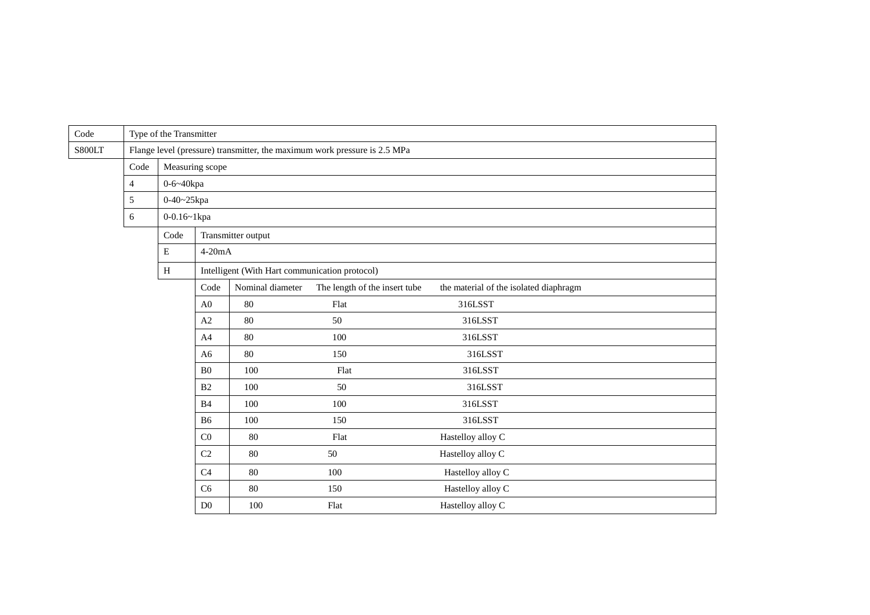| Code   |                | Type of the Transmitter |                                                |                    |                                                                           |                                        |  |  |  |  |  |  |
|--------|----------------|-------------------------|------------------------------------------------|--------------------|---------------------------------------------------------------------------|----------------------------------------|--|--|--|--|--|--|
| S800LT |                |                         |                                                |                    | Flange level (pressure) transmitter, the maximum work pressure is 2.5 MPa |                                        |  |  |  |  |  |  |
|        | Code           | Measuring scope         |                                                |                    |                                                                           |                                        |  |  |  |  |  |  |
|        | $\overline{4}$ | $0 - 6 - 40$ kpa        |                                                |                    |                                                                           |                                        |  |  |  |  |  |  |
|        | 5              | 0-40~25kpa              |                                                |                    |                                                                           |                                        |  |  |  |  |  |  |
|        | 6              | 0-0.16~1kpa             |                                                |                    |                                                                           |                                        |  |  |  |  |  |  |
|        |                | Code                    |                                                | Transmitter output |                                                                           |                                        |  |  |  |  |  |  |
|        |                | $\mathbf E$             | $4-20mA$                                       |                    |                                                                           |                                        |  |  |  |  |  |  |
|        |                | $\, {\rm H}$            | Intelligent (With Hart communication protocol) |                    |                                                                           |                                        |  |  |  |  |  |  |
|        |                |                         | Code                                           | Nominal diameter   | The length of the insert tube                                             | the material of the isolated diaphragm |  |  |  |  |  |  |
|        | A0             |                         |                                                | 80                 | Flat                                                                      | 316LSST                                |  |  |  |  |  |  |
|        |                |                         | A2                                             | 80                 | 50                                                                        | 316LSST                                |  |  |  |  |  |  |
|        |                |                         | A4                                             | $80\,$             | 100                                                                       | 316LSST                                |  |  |  |  |  |  |
|        |                |                         | A6                                             | 80                 | 150                                                                       | 316LSST                                |  |  |  |  |  |  |
|        |                |                         | B <sub>0</sub>                                 | 100                | Flat                                                                      | 316LSST                                |  |  |  |  |  |  |
|        |                |                         | B2                                             | 100                | 50                                                                        | 316LSST                                |  |  |  |  |  |  |
|        |                |                         | B4                                             | 100                | 100                                                                       | 316LSST                                |  |  |  |  |  |  |
|        |                |                         | <b>B6</b>                                      | 100                | 150                                                                       | 316LSST                                |  |  |  |  |  |  |
|        |                |                         | C <sub>0</sub>                                 | 80                 | Flat                                                                      | Hastelloy alloy C                      |  |  |  |  |  |  |
|        |                |                         | C <sub>2</sub>                                 | 80                 | Hastelloy alloy C                                                         |                                        |  |  |  |  |  |  |
|        |                |                         | C <sub>4</sub>                                 | 80                 | 100                                                                       | Hastelloy alloy C                      |  |  |  |  |  |  |
|        |                |                         | C <sub>6</sub>                                 | 80                 | 150                                                                       | Hastelloy alloy C                      |  |  |  |  |  |  |
|        |                |                         | D <sub>0</sub>                                 | 100                | Flat                                                                      | Hastelloy alloy C                      |  |  |  |  |  |  |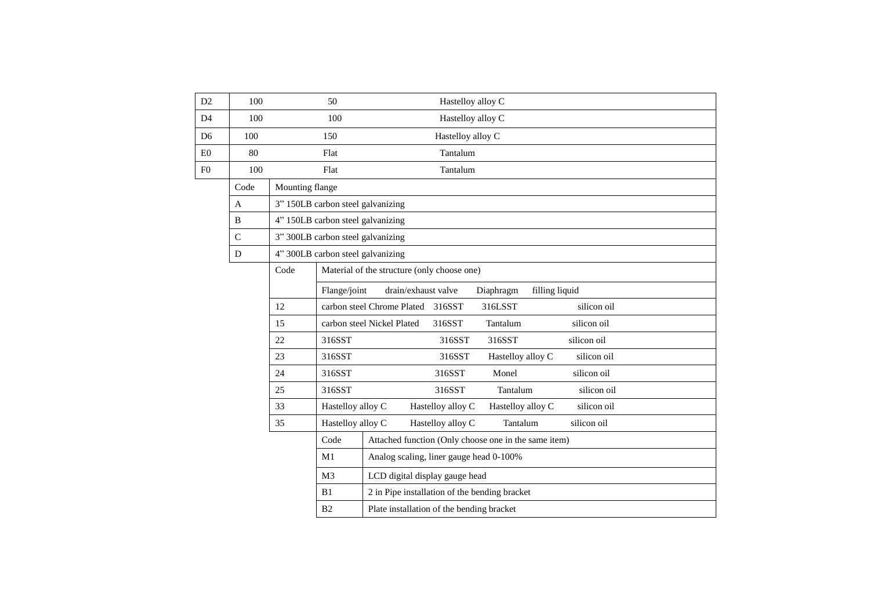| 100           |      | 50                                            | Hastelloy alloy C                                                                     |  |  |  |  |  |  |  |  |
|---------------|------|-----------------------------------------------|---------------------------------------------------------------------------------------|--|--|--|--|--|--|--|--|
| 100           |      | 100                                           | Hastelloy alloy C                                                                     |  |  |  |  |  |  |  |  |
| 100           |      | 150                                           | Hastelloy alloy C                                                                     |  |  |  |  |  |  |  |  |
| 80            |      | Flat                                          | Tantalum                                                                              |  |  |  |  |  |  |  |  |
| 100           |      | Flat                                          | Tantalum                                                                              |  |  |  |  |  |  |  |  |
| Code          |      |                                               |                                                                                       |  |  |  |  |  |  |  |  |
| $\mathbf{A}$  |      | 3" 150LB carbon steel galvanizing             |                                                                                       |  |  |  |  |  |  |  |  |
| B             |      | 4" 150LB carbon steel galvanizing             |                                                                                       |  |  |  |  |  |  |  |  |
| $\mathcal{C}$ |      | 3" 300LB carbon steel galvanizing             |                                                                                       |  |  |  |  |  |  |  |  |
| $\mathbf D$   |      | 4" 300LB carbon steel galvanizing             |                                                                                       |  |  |  |  |  |  |  |  |
|               | Code | Material of the structure (only choose one)   |                                                                                       |  |  |  |  |  |  |  |  |
|               |      |                                               | drain/exhaust valve<br>Diaphragm<br>filling liquid                                    |  |  |  |  |  |  |  |  |
|               | 12   |                                               | silicon oil<br>carbon steel Chrome Plated 316SST<br>316LSST                           |  |  |  |  |  |  |  |  |
|               | 15   |                                               | silicon oil<br>carbon steel Nickel Plated<br>316SST<br>Tantalum                       |  |  |  |  |  |  |  |  |
|               | 22   | 316SST                                        | 316SST<br>316SST<br>silicon oil                                                       |  |  |  |  |  |  |  |  |
|               | 23   | 316SST                                        | 316SST<br>Hastelloy alloy C<br>silicon oil                                            |  |  |  |  |  |  |  |  |
|               | 24   | 316SST                                        | silicon oil<br>316SST<br>Monel                                                        |  |  |  |  |  |  |  |  |
|               | 25   | 316SST                                        | 316SST<br>silicon oil<br>Tantalum                                                     |  |  |  |  |  |  |  |  |
|               | 33   |                                               | Hastelloy alloy C<br>silicon oil<br>Hastelloy alloy C                                 |  |  |  |  |  |  |  |  |
|               | 35   |                                               | Hastelloy alloy C<br>silicon oil<br>Tantalum                                          |  |  |  |  |  |  |  |  |
|               |      | Code                                          | Attached function (Only choose one in the same item)                                  |  |  |  |  |  |  |  |  |
|               |      | Analog scaling, liner gauge head 0-100%       |                                                                                       |  |  |  |  |  |  |  |  |
|               |      | M <sub>3</sub>                                | LCD digital display gauge head                                                        |  |  |  |  |  |  |  |  |
|               |      | 2 in Pipe installation of the bending bracket |                                                                                       |  |  |  |  |  |  |  |  |
|               |      | B2                                            | Plate installation of the bending bracket                                             |  |  |  |  |  |  |  |  |
|               |      |                                               | Mounting flange<br>Flange/joint<br>Hastelloy alloy C<br>Hastelloy alloy C<br>M1<br>B1 |  |  |  |  |  |  |  |  |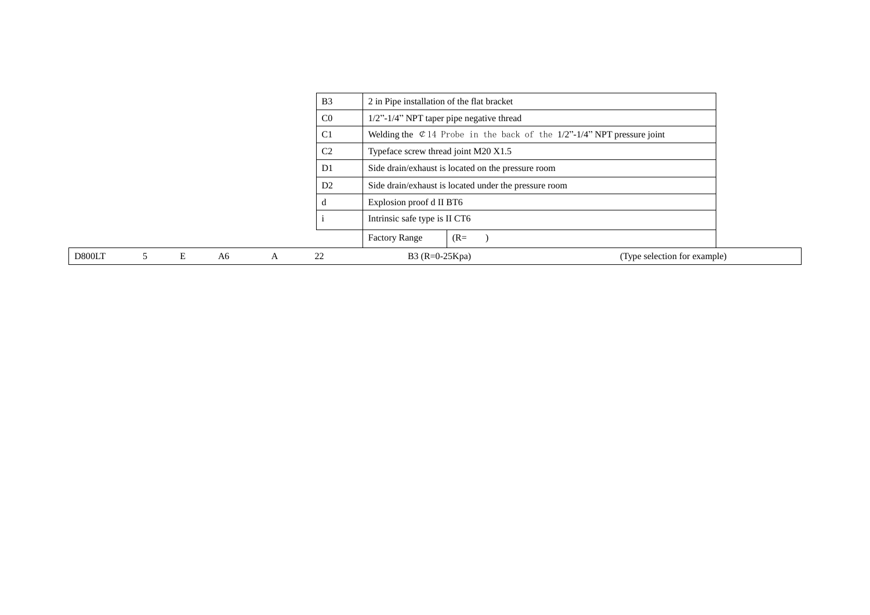|        |   |    |   | B <sub>3</sub> | 2 in Pipe installation of the flat bracket |                                                                           |                              |
|--------|---|----|---|----------------|--------------------------------------------|---------------------------------------------------------------------------|------------------------------|
|        |   |    |   | C <sub>0</sub> | 1/2"-1/4" NPT taper pipe negative thread   |                                                                           |                              |
|        |   |    |   | C <sub>1</sub> |                                            | Welding the $\&$ 14 Probe in the back of the 1/2"-1/4" NPT pressure joint |                              |
|        |   |    |   | C <sub>2</sub> | Typeface screw thread joint M20 X1.5       |                                                                           |                              |
|        |   |    |   | D <sub>1</sub> |                                            | Side drain/exhaust is located on the pressure room                        |                              |
|        |   |    |   | D2             |                                            | Side drain/exhaust is located under the pressure room                     |                              |
|        |   |    |   |                | Explosion proof d II BT6                   |                                                                           |                              |
|        |   |    |   |                | Intrinsic safe type is II CT6              |                                                                           |                              |
|        |   |    |   |                | <b>Factory Range</b>                       | $(R=$                                                                     |                              |
| D800LT | Ε | A6 | A | 22             | $B3 (R=0-25Kpa)$                           |                                                                           | (Type selection for example) |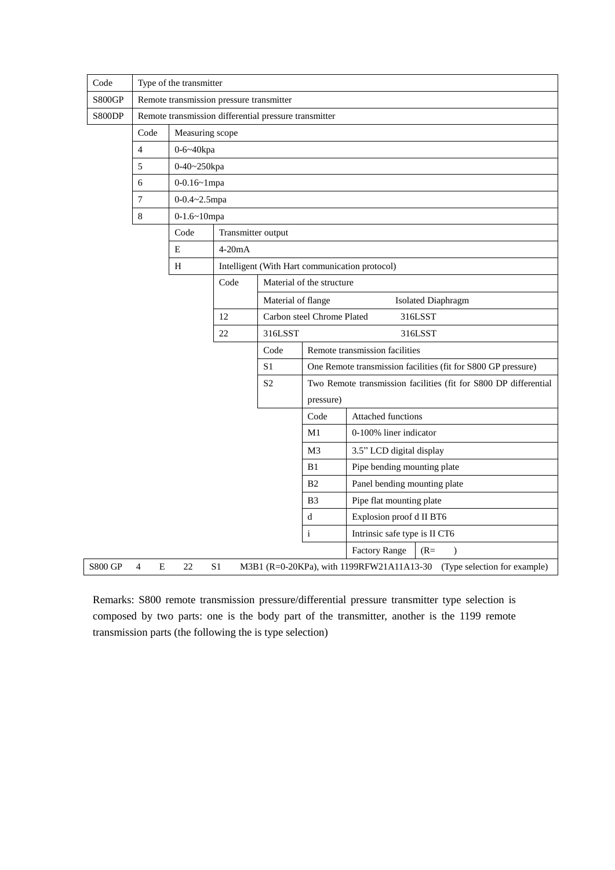| Code           |                     | Type of the transmitter |                                          |                                                       |                |                                                                        |  |  |  |
|----------------|---------------------|-------------------------|------------------------------------------|-------------------------------------------------------|----------------|------------------------------------------------------------------------|--|--|--|
| <b>S800GP</b>  |                     |                         | Remote transmission pressure transmitter |                                                       |                |                                                                        |  |  |  |
| S800DP         |                     |                         |                                          | Remote transmission differential pressure transmitter |                |                                                                        |  |  |  |
|                | Code                | Measuring scope         |                                          |                                                       |                |                                                                        |  |  |  |
|                | $\overline{4}$      | 0-6~40kpa               |                                          |                                                       |                |                                                                        |  |  |  |
|                | 5                   | 0-40~250kpa             |                                          |                                                       |                |                                                                        |  |  |  |
|                | 6                   | $0 - 0.16 - 1$ mpa      |                                          |                                                       |                |                                                                        |  |  |  |
|                | 7                   | 0-0.4~2.5mpa            |                                          |                                                       |                |                                                                        |  |  |  |
|                | $\,8\,$             | $0-1.6-10$ mpa          |                                          |                                                       |                |                                                                        |  |  |  |
|                |                     | Code                    | Transmitter output                       |                                                       |                |                                                                        |  |  |  |
|                |                     | E                       | $4-20mA$                                 |                                                       |                |                                                                        |  |  |  |
|                |                     | H                       |                                          |                                                       |                | Intelligent (With Hart communication protocol)                         |  |  |  |
|                |                     |                         | Code                                     | Material of the structure                             |                |                                                                        |  |  |  |
|                |                     |                         |                                          | Material of flange<br><b>Isolated Diaphragm</b>       |                |                                                                        |  |  |  |
|                |                     |                         | 12                                       | Carbon steel Chrome Plated<br>316LSST                 |                |                                                                        |  |  |  |
|                |                     |                         | 22                                       | 316LSST                                               |                | 316LSST                                                                |  |  |  |
|                |                     |                         |                                          | Code                                                  |                | Remote transmission facilities                                         |  |  |  |
|                |                     |                         |                                          | S <sub>1</sub>                                        |                | One Remote transmission facilities (fit for S800 GP pressure)          |  |  |  |
|                |                     |                         |                                          | S <sub>2</sub>                                        |                | Two Remote transmission facilities (fit for S800 DP differential       |  |  |  |
|                |                     |                         |                                          |                                                       | pressure)      |                                                                        |  |  |  |
|                |                     |                         |                                          |                                                       | Code           | Attached functions                                                     |  |  |  |
|                |                     |                         |                                          |                                                       | M1             | 0-100% liner indicator                                                 |  |  |  |
|                |                     |                         |                                          |                                                       | M3             | 3.5" LCD digital display                                               |  |  |  |
|                |                     |                         |                                          |                                                       | B1             | Pipe bending mounting plate                                            |  |  |  |
|                |                     |                         |                                          |                                                       | B <sub>2</sub> | Panel bending mounting plate                                           |  |  |  |
|                |                     |                         |                                          | B <sub>3</sub><br>Pipe flat mounting plate            |                |                                                                        |  |  |  |
|                |                     |                         |                                          |                                                       | d              | Explosion proof d II BT6                                               |  |  |  |
|                |                     |                         |                                          |                                                       | $\mathbf{i}$   | Intrinsic safe type is II CT6                                          |  |  |  |
|                |                     |                         |                                          |                                                       |                | <b>Factory Range</b><br>$(R=$<br>$\mathcal{E}$                         |  |  |  |
| <b>S800 GP</b> | $\overline{4}$<br>E | 22                      | S <sub>1</sub>                           |                                                       |                | M3B1 (R=0-20KPa), with 1199RFW21A11A13-30 (Type selection for example) |  |  |  |

Remarks: S800 remote transmission pressure/differential pressure transmitter type selection is composed by two parts: one is the body part of the transmitter, another is the 1199 remote transmission parts (the following the is type selection)